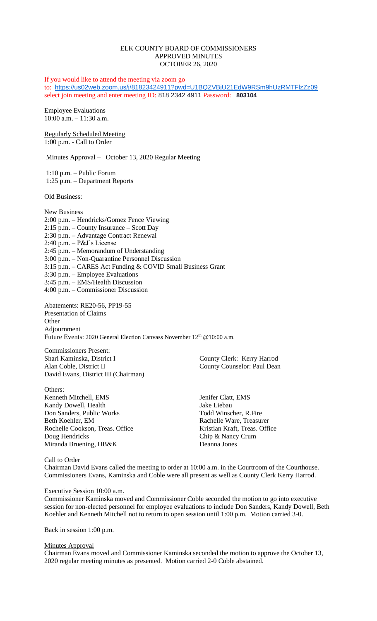## ELK COUNTY BOARD OF COMMISSIONERS APPROVED MINUTES OCTOBER 26, 2020

If you would like to attend the meeting via zoom go to: <https://us02web.zoom.us/j/81823424911?pwd=U1BQZVBjU21EdW9RSm9hUzRMTFlzZz09> select join meeting and enter meeting ID: 818 2342 4911 Password: **803104**

Employee Evaluations 10:00 a.m. – 11:30 a.m.

Regularly Scheduled Meeting 1:00 p.m. - Call to Order

Minutes Approval – October 13, 2020 Regular Meeting

1:10 p.m. – Public Forum 1:25 p.m. – Department Reports

Old Business:

New Business 2:00 p.m. – Hendricks/Gomez Fence Viewing 2:15 p.m. – County Insurance – Scott Day 2:30 p.m. – Advantage Contract Renewal 2:40 p.m. – P&J's License 2:45 p.m. – Memorandum of Understanding 3:00 p.m. – Non-Quarantine Personnel Discussion 3:15 p.m. – CARES Act Funding & COVID Small Business Grant 3:30 p.m. – Employee Evaluations 3:45 p.m. – EMS/Health Discussion 4:00 p.m. – Commissioner Discussion

Abatements: RE20-56, PP19-55 Presentation of Claims **Other** Adjournment Future Events: 2020 General Election Canvass November 12<sup>th</sup> @10:00 a.m.

Commissioners Present: Shari Kaminska, District I County Clerk: Kerry Harrod Alan Coble, District II County Counselor: Paul Dean David Evans, District III (Chairman)

Others: Kenneth Mitchell, EMS Jenifer Clatt, EMS Kandy Dowell, Health Jake Liebau Don Sanders, Public Works Todd Winscher, R.Fire Beth Koehler, EM Rachelle Ware, Treasurer Rochelle Cookson, Treas. Office Kristian Kraft, Treas. Office Doug Hendricks Chip & Nancy Crum Miranda Bruening, HB&K Deanna Jones

Call to Order

Chairman David Evans called the meeting to order at 10:00 a.m. in the Courtroom of the Courthouse. Commissioners Evans, Kaminska and Coble were all present as well as County Clerk Kerry Harrod.

### Executive Session 10:00 a.m.

Commissioner Kaminska moved and Commissioner Coble seconded the motion to go into executive session for non-elected personnel for employee evaluations to include Don Sanders, Kandy Dowell, Beth Koehler and Kenneth Mitchell not to return to open session until 1:00 p.m. Motion carried 3-0.

Back in session 1:00 p.m.

### **Minutes Approval**

Chairman Evans moved and Commissioner Kaminska seconded the motion to approve the October 13, 2020 regular meeting minutes as presented. Motion carried 2-0 Coble abstained.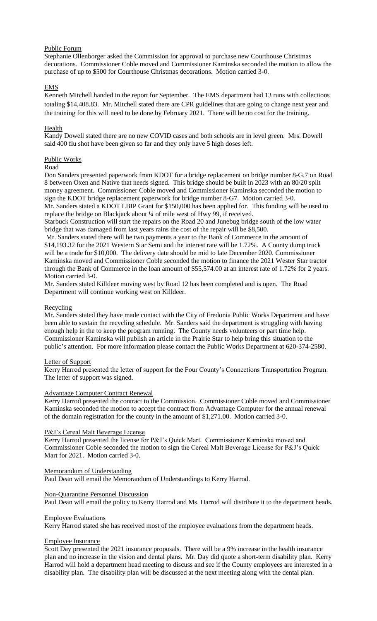## Public Forum

Stephanie Ollenborger asked the Commission for approval to purchase new Courthouse Christmas decorations. Commissioner Coble moved and Commissioner Kaminska seconded the motion to allow the purchase of up to \$500 for Courthouse Christmas decorations. Motion carried 3-0.

# EMS

Kenneth Mitchell handed in the report for September. The EMS department had 13 runs with collections totaling \$14,408.83. Mr. Mitchell stated there are CPR guidelines that are going to change next year and the training for this will need to be done by February 2021. There will be no cost for the training.

## **Health**

Kandy Dowell stated there are no new COVID cases and both schools are in level green. Mrs. Dowell said 400 flu shot have been given so far and they only have 5 high doses left.

## Public Works

### Road

Don Sanders presented paperwork from KDOT for a bridge replacement on bridge number 8-G.7 on Road 8 between Oxen and Native that needs signed. This bridge should be built in 2023 with an 80/20 split money agreement. Commissioner Coble moved and Commissioner Kaminska seconded the motion to sign the KDOT bridge replacement paperwork for bridge number 8-G7. Motion carried 3-0. Mr. Sanders stated a KDOT LBIP Grant for \$150,000 has been applied for. This funding will be used to

replace the bridge on Blackjack about ¼ of mile west of Hwy 99, if received. Starbuck Construction will start the repairs on the Road 20 and Junebug bridge south of the low water bridge that was damaged from last years rains the cost of the repair will be \$8,500.

Mr. Sanders stated there will be two payments a year to the Bank of Commerce in the amount of \$14,193.32 for the 2021 Western Star Semi and the interest rate will be 1.72%. A County dump truck will be a trade for \$10,000. The delivery date should be mid to late December 2020. Commissioner Kaminska moved and Commissioner Coble seconded the motion to finance the 2021 Wester Star tractor through the Bank of Commerce in the loan amount of \$55,574.00 at an interest rate of 1.72% for 2 years. Motion carried 3-0.

Mr. Sanders stated Killdeer moving west by Road 12 has been completed and is open. The Road Department will continue working west on Killdeer.

### Recycling

Mr. Sanders stated they have made contact with the City of Fredonia Public Works Department and have been able to sustain the recycling schedule. Mr. Sanders said the department is struggling with having enough help in the to keep the program running. The County needs volunteers or part time help. Commissioner Kaminska will publish an article in the Prairie Star to help bring this situation to the public's attention. For more information please contact the Public Works Department at 620-374-2580.

### Letter of Support

Kerry Harrod presented the letter of support for the Four County's Connections Transportation Program. The letter of support was signed.

## Advantage Computer Contract Renewal

Kerry Harrod presented the contract to the Commission. Commissioner Coble moved and Commissioner Kaminska seconded the motion to accept the contract from Advantage Computer for the annual renewal of the domain registration for the county in the amount of \$1,271.00. Motion carried 3-0.

## P&J's Cereal Malt Beverage License

Kerry Harrod presented the license for P&J's Quick Mart. Commissioner Kaminska moved and Commissioner Coble seconded the motion to sign the Cereal Malt Beverage License for P&J's Quick Mart for 2021. Motion carried 3-0.

## Memorandum of Understanding

Paul Dean will email the Memorandum of Understandings to Kerry Harrod.

## Non-Quarantine Personnel Discussion

Paul Dean will email the policy to Kerry Harrod and Ms. Harrod will distribute it to the department heads.

### Employee Evaluations

Kerry Harrod stated she has received most of the employee evaluations from the department heads.

## Employee Insurance

Scott Day presented the 2021 insurance proposals. There will be a 9% increase in the health insurance plan and no increase in the vision and dental plans. Mr. Day did quote a short-term disability plan. Kerry Harrod will hold a department head meeting to discuss and see if the County employees are interested in a disability plan. The disability plan will be discussed at the next meeting along with the dental plan.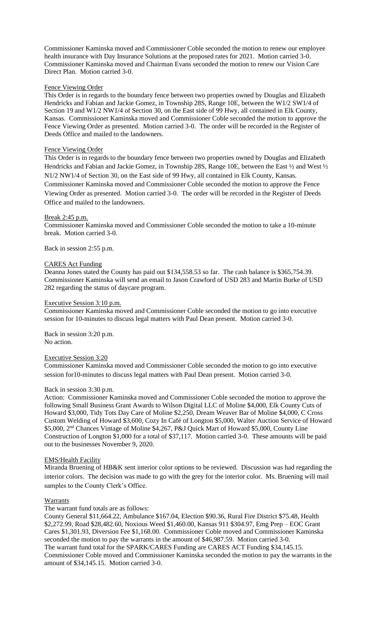Commissioner Kaminska moved and Commissioner Coble seconded the motion to renew our employee health insurance with Day Insurance Solutions at the proposed rates for 2021. Motion carried 3-0. Commissioner Kaminska moved and Chairman Evans seconded the motion to renew our Vision Care Direct Plan. Motion carried 3-0.

### Fence Viewing Order

This Order is in regards to the boundary fence between two properties owned by Douglas and Elizabeth Hendricks and Fabian and Jackie Gomez, in Township 28S, Range 10E, between the W1/2 SW1/4 of Section 19 and W1/2 NW1/4 of Section 30, on the East side of 99 Hwy, all contained in Elk County, Kansas. Commissioner Kaminska moved and Commissioner Coble seconded the motion to approve the Fence Viewing Order as presented. Motion carried 3-0. The order will be recorded in the Register of Deeds Office and mailed to the landowners.

### Fence Viewing Order

This Order is in regards to the boundary fence between two properties owned by Douglas and Elizabeth Hendricks and Fabian and Jackie Gomez, in Township 28S, Range 10E, between the East ½ and West ½ N1/2 NW1/4 of Section 30, on the East side of 99 Hwy, all contained in Elk County, Kansas. Commissioner Kaminska moved and Commissioner Coble seconded the motion to approve the Fence Viewing Order as presented. Motion carried 3-0. The order will be recorded in the Register of Deeds Office and mailed to the landowners.

### Break 2:45 p.m.

Commissioner Kaminska moved and Commissioner Coble seconded the motion to take a 10-minute break. Motion carried 3-0.

Back in session 2:55 p.m.

### CARES Act Funding

Deanna Jones stated the County has paid out \$134,558.53 so far. The cash balance is \$365,754.39. Commissioner Kaminska will send an email to Jason Crawford of USD 283 and Martin Burke of USD 282 regarding the status of daycare program.

### Executive Session 3:10 p.m.

Commissioner Kaminska moved and Commissioner Coble seconded the motion to go into executive session for 10-minutes to discuss legal matters with Paul Dean present. Motion carried 3-0.

Back in session 3:20 p.m. No action.

### Executive Session 3:20

Commissioner Kaminska moved and Commissioner Coble seconded the motion to go into executive session for10-minutes to discuss legal matters with Paul Dean present. Motion carried 3-0.

### Back in session 3:30 p.m.

Action: Commissioner Kaminska moved and Commissioner Coble seconded the motion to approve the following Small Business Grant Awards to Wilson Digital LLC of Moline \$4,000, Elk County Cuts of Howard \$3,000, Tidy Tots Day Care of Moline \$2,250, Dream Weaver Bar of Moline \$4,000, C Cross Custom Welding of Howard \$3,600, Cozy In Café of Longton \$5,000, Walter Auction Service of Howard \$5,000, 2nd Chances Vintage of Moline \$4,267, P&J Quick Mart of Howard \$5,000, County Line Construction of Longton \$1,000 for a total of \$37,117. Motion carried 3-0. These amounts will be paid out to the businesses November 9, 2020.

### EMS/Health Facility

Miranda Bruening of HB&K sent interior color options to be reviewed. Discussion was had regarding the interior colors. The decision was made to go with the grey for the interior color. Ms. Bruening will mail samples to the County Clerk's Office.

### **Warrants**

The warrant fund totals are as follows:

County General \$11,664.22, Ambulance \$167.04, Election \$90.36, Rural Fire District \$75.48, Health \$2,272.99, Road \$28,482.60, Noxious Weed \$1,460.00, Kansas 911 \$304.97, Emg Prep – EOC Grant Cares \$1,301.93, Diversion Fee \$1,168.00. Commissioner Coble moved and Commissioner Kaminska seconded the motion to pay the warrants in the amount of \$46,987.59. Motion carried 3-0. The warrant fund total for the SPARK/CARES Funding are CARES ACT Funding \$34,145.15. Commissioner Coble moved and Commissioner Kaminska seconded the motion to pay the warrants in the amount of \$34,145.15. Motion carried 3-0.